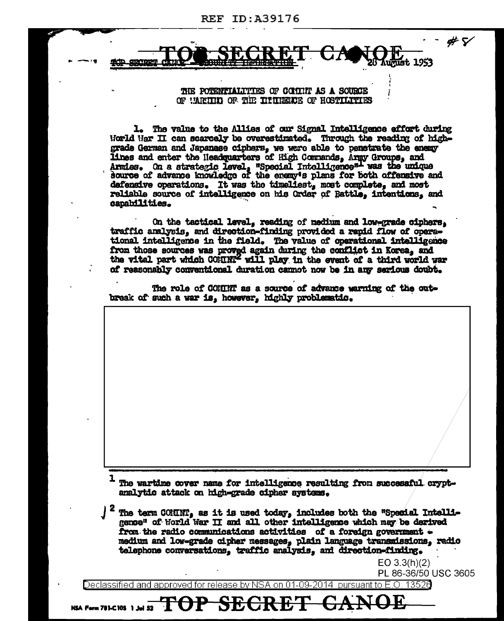213001

## THE POTENTIALITIES OF COLITIP AS A SOURCE OF UARITH OF THE INTIMERER OF HOSTILITIES

1. The value to the Allies of our Signal Intelligence effort during World War II can scarcely be overestimated. Through the reading of highgrade German and Japanase ciphers, we were able to penstrate the energy lines and enter the Headquarters of High Commands, Army Groups, and Armies. On a strategic level, "Special Intolligence"- was the unique source of advance knowledge of the energy's plans for both offensive and defensive operations. It was the timeliest, most complete, and most reliable source of intelligence on his Order of Battle, intentions, and capabilities.

On the tactical level, reading of medium and low-grade ciphers. traffic analysis, and direction-finding provided a rapid flow of operational intelligence in the field. The value of operational intelligence from those sources was proved again during the conflict in Korea, and the vital part which COMMN' will play in the event of a third world war of reasonably conventional duration cannot now be in any serious doubt.

The role of COMINT as a source of advance warning of the outbreak of such a war is, however, highly problematic.

The wartime cover name for intelligence resulting from successful cryptanalytic attack on high-grade cipher avatems.

The term COMINT, as it is used today, includes both the "Special Intelligence" of World War II and all other intelligence which may be derived from the radio communications activities of a foreign government medium and low-grade cipher messages, plain language transmissions, radio telephone conversations, traffic analysis, and direction-finding.

> $EO 3.3(h)(2)$ PL 86-36/50 USC 3605

#7

unust 1953

Declassified and approved for release by NSA on 01-09-2014  $\,$  pursuant to E.O. 13526  $\,$ 

**SEG** 

DP-

NSA Form 781-C10S 1 Jul 52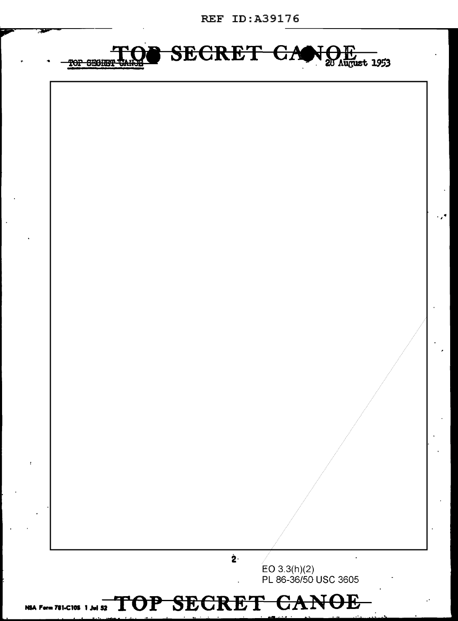**REF ID:A39176** 



## NSA Form 781-C10S 1 Jul 52 TOP SECRET CANOE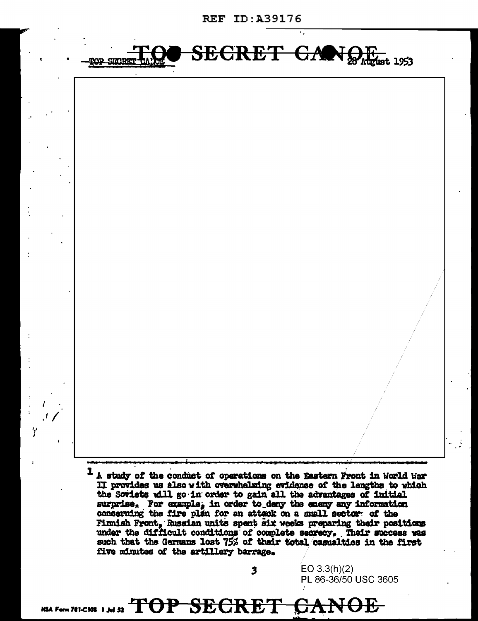**REF ID:A39176** 



II provides us also with overwhelming evidence of the lengths to which the Soviets will go in order to gain all the advantages of initial surprise. For example, in order to deny the enemy any information concerning the fire plan for an attack on a small sector of the Finnish Front. Russian units spent six weeks preparing their positions under the difficult conditions of complete secrecy. Their success was such that the Germans lost 75% of their total casualties in the first five minutes of the artillery barrage.

 $\overline{\mathbf{3}}$ 

EO  $3.3(h)(2)$ 

PL 86-36/50 USC 3605

**NOF** 

NSA Form 781-C105 1 Jul 52  $\text{TOP}$   $\text{SEGRE}$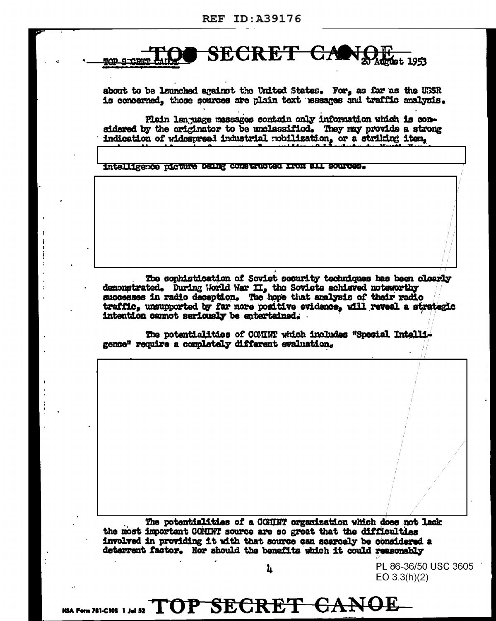

about to be launched against the United States. For, as far as the USSR is concerned, those sources are plain text hessages and traffic analysis.

Plain lan uage messages contain only information which is considered by the originator to be unclassified. They may provide a strong indication of widespread industrial nobilization, or a striking item,

intalligence picture Denng constructed from all sources.

The sophistication of Soviet security techniques has been clearly demonstrated. During World War II, the Soviets achieved noteworthy successes in radio deception. The hope that analysis of their radio traffic, unsupported by far more positive evidence, will reveal a strategic intention cannot seriously be entertained.

The potentialities of COMINT which includes "Special Intelligence" require a completely different evaluation.

The potentialities of a COMINT organization which does not lack the most important COMINT source are so great that the difficulties involved in providing it with that source can scarcely be considered a deterrent factor. Nor should the benefits which it could reasonably

Ŀ

PL 86-36/50 USC 3605 EO  $3.3(h)(2)$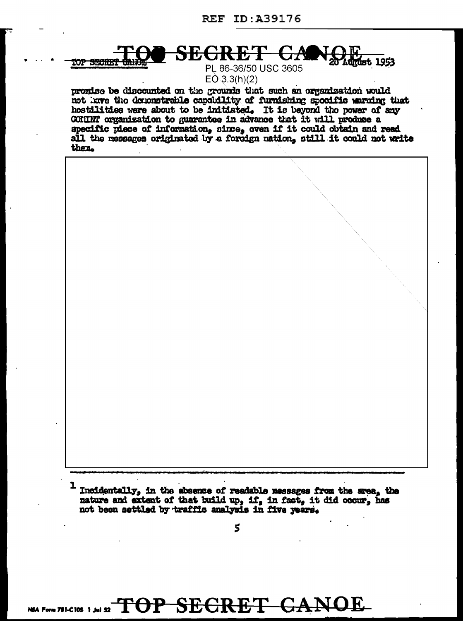**TOP SECRET** 

SECR **Must 1953** 

PL 86-36/50 USC 3605  $EO 3.3(h)(2)$ 

promise be discounted on the grounds that such an organization would not have the demonstrable capability of furnishing specific warning that hostilities were about to be initiated. It is beyond the power of any COMINT organization to guarantee in advance that it will produce a specific piece of information, since, oven if it could obtain and read all the messages originated by a foreign nation, still it could not write then.



I Incidentally, in the absence of readable messages from the area, the nature and extent of that build up, if, in fact, it did occur, has not been settled by traffic analysis in five years.

NSA FOTABLEINS 1, MI ST TOP SECRET CANOE